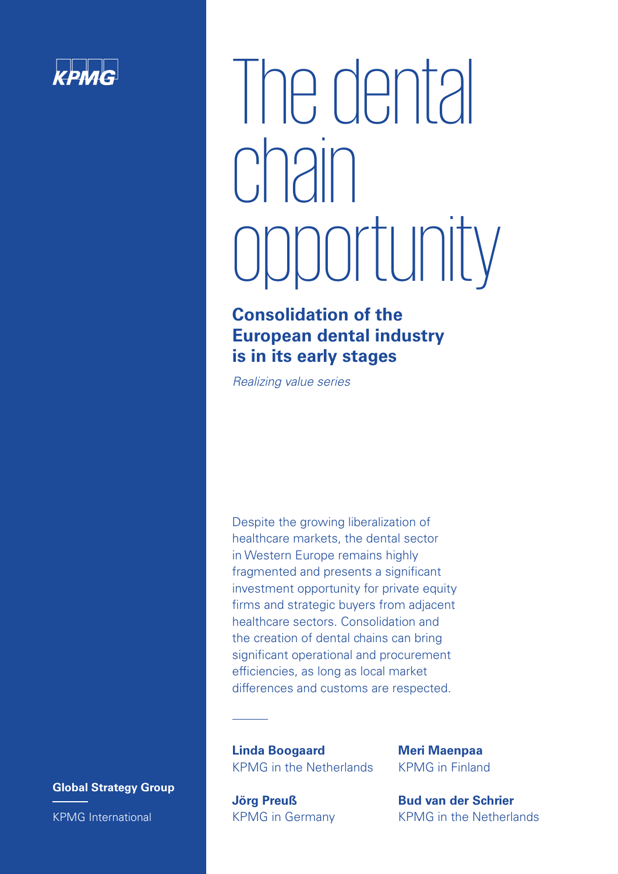

# The dental chain opportunity

### **Consolidation of the European dental industry is in its early stages**

*Realizing value series*

Despite the growing liberalization of healthcare markets, the dental sector in Western Europe remains highly fragmented and presents a significant investment opportunity for private equity firms and strategic buyers from adjacent healthcare sectors. Consolidation and the creation of dental chains can bring significant operational and procurement efficiencies, as long as local market differences and customs are respected.

**Linda Boogaard** KPMG in the Netherlands

**Jörg Preuß** KPMG in Germany **Meri Maenpaa** KPMG in Finland

**Bud van der Schrier** KPMG in the Netherlands

**Global Strategy Group** KPMG International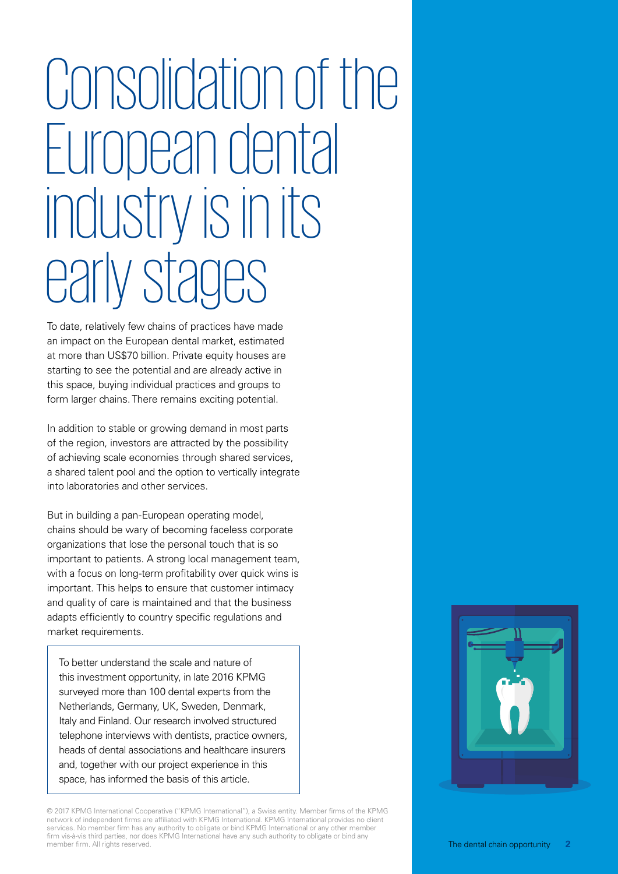## Consolidation of the European dental industry isin its early stages

To date, relatively few chains of practices have made an impact on the European dental market, estimated at more than US\$70 billion. Private equity houses are starting to see the potential and are already active in this space, buying individual practices and groups to form larger chains. There remains exciting potential.

In addition to stable or growing demand in most parts of the region, investors are attracted by the possibility of achieving scale economies through shared services, a shared talent pool and the option to vertically integrate into laboratories and other services.

But in building a pan-European operating model, chains should be wary of becoming faceless corporate organizations that lose the personal touch that is so important to patients. A strong local management team, with a focus on long-term profitability over quick wins is important. This helps to ensure that customer intimacy and quality of care is maintained and that the business adapts efficiently to country specific regulations and market requirements.

To better understand the scale and nature of this investment opportunity, in late 2016 KPMG surveyed more than 100 dental experts from the Netherlands, Germany, UK, Sweden, Denmark, Italy and Finland. Our research involved structured telephone interviews with dentists, practice owners, heads of dental associations and healthcare insurers and, together with our project experience in this space, has informed the basis of this article.

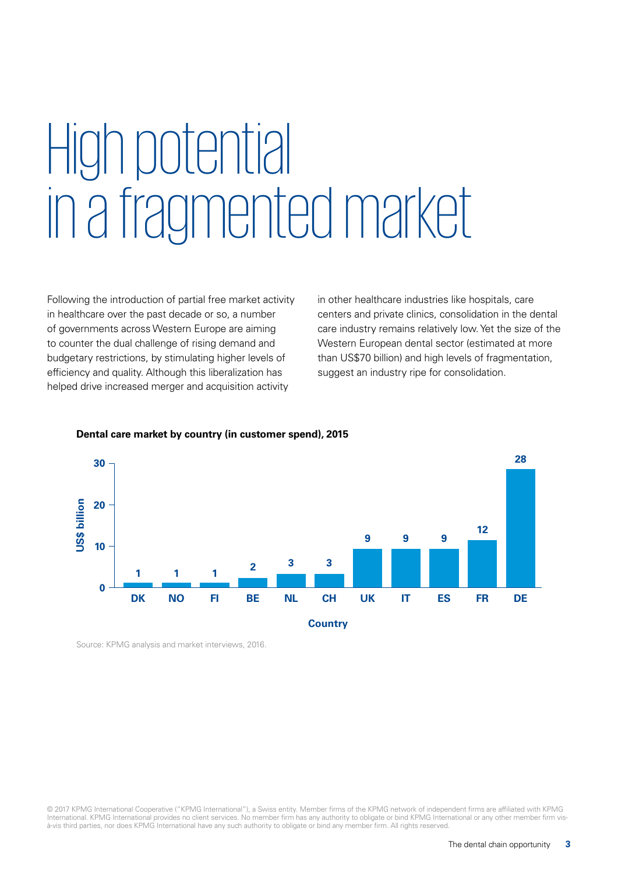## High potential in a fragmented market

Following the introduction of partial free market activity in healthcare over the past decade or so, a number of governments across Western Europe are aiming to counter the dual challenge of rising demand and budgetary restrictions, by stimulating higher levels of efficiency and quality. Although this liberalization has helped drive increased merger and acquisition activity

in other healthcare industries like hospitals, care centers and private clinics, consolidation in the dental care industry remains relatively low. Yet the size of the Western European dental sector (estimated at more than US\$70 billion) and high levels of fragmentation, suggest an industry ripe for consolidation.



#### **Dental care market by country (in customer spend), 2015**

Source: KPMG analysis and market interviews, 2016.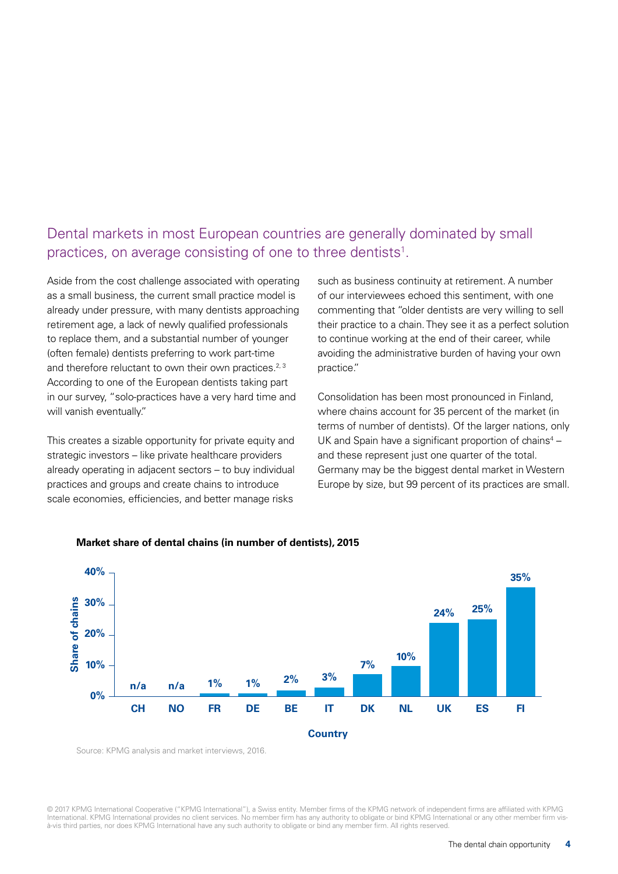### Dental markets in most European countries are generally dominated by small practices, on average consisting of one to three dentists<sup>1</sup>.

Aside from the cost challenge associated with operating as a small business, the current small practice model is already under pressure, with many dentists approaching retirement age, a lack of newly qualified professionals to replace them, and a substantial number of younger (often female) dentists preferring to work part-time and therefore reluctant to own their own practices.<sup>2, 3</sup> According to one of the European dentists taking part in our survey, "solo-practices have a very hard time and will vanish eventually."

This creates a sizable opportunity for private equity and strategic investors – like private healthcare providers already operating in adjacent sectors – to buy individual practices and groups and create chains to introduce scale economies, efficiencies, and better manage risks

such as business continuity at retirement. A number of our interviewees echoed this sentiment, with one commenting that "older dentists are very willing to sell their practice to a chain. They see it as a perfect solution to continue working at the end of their career, while avoiding the administrative burden of having your own practice."

Consolidation has been most pronounced in Finland, where chains account for 35 percent of the market (in terms of number of dentists). Of the larger nations, only UK and Spain have a significant proportion of chains<sup>4</sup>  $$ and these represent just one quarter of the total. Germany may be the biggest dental market in Western Europe by size, but 99 percent of its practices are small.





Source: KPMG analysis and market interviews, 2016.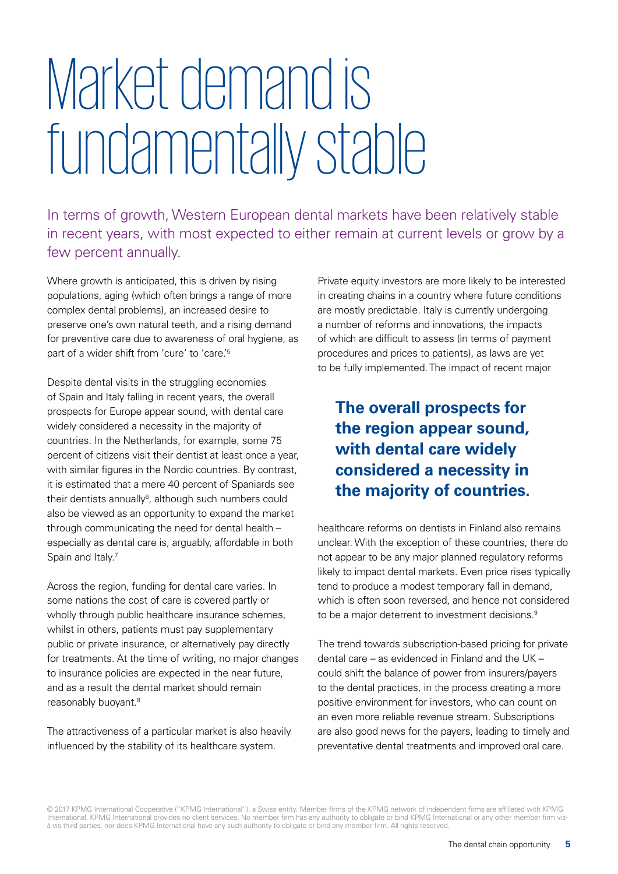## Market demand is fundamentally stable

In terms of growth, Western European dental markets have been relatively stable in recent years, with most expected to either remain at current levels or grow by a few percent annually.

Where growth is anticipated, this is driven by rising populations, aging (which often brings a range of more complex dental problems), an increased desire to preserve one's own natural teeth, and a rising demand for preventive care due to awareness of oral hygiene, as part of a wider shift from 'cure' to 'care.<sup>'5</sup>

Despite dental visits in the struggling economies of Spain and Italy falling in recent years, the overall prospects for Europe appear sound, with dental care widely considered a necessity in the majority of countries. In the Netherlands, for example, some 75 percent of citizens visit their dentist at least once a year, with similar figures in the Nordic countries. By contrast, it is estimated that a mere 40 percent of Spaniards see their dentists annually<sup>6</sup>, although such numbers could also be viewed as an opportunity to expand the market through communicating the need for dental health – especially as dental care is, arguably, affordable in both Spain and Italy.<sup>7</sup>

Across the region, funding for dental care varies. In some nations the cost of care is covered partly or wholly through public healthcare insurance schemes, whilst in others, patients must pay supplementary public or private insurance, or alternatively pay directly for treatments. At the time of writing, no major changes to insurance policies are expected in the near future, and as a result the dental market should remain reasonably buoyant.8

The attractiveness of a particular market is also heavily influenced by the stability of its healthcare system.

Private equity investors are more likely to be interested in creating chains in a country where future conditions are mostly predictable. Italy is currently undergoing a number of reforms and innovations, the impacts of which are difficult to assess (in terms of payment procedures and prices to patients), as laws are yet to be fully implemented. The impact of recent major

### **The overall prospects for the region appear sound, with dental care widely considered a necessity in the majority of countries.**

healthcare reforms on dentists in Finland also remains unclear. With the exception of these countries, there do not appear to be any major planned regulatory reforms likely to impact dental markets. Even price rises typically tend to produce a modest temporary fall in demand, which is often soon reversed, and hence not considered to be a major deterrent to investment decisions.<sup>9</sup>

The trend towards subscription-based pricing for private dental care – as evidenced in Finland and the UK – could shift the balance of power from insurers/payers to the dental practices, in the process creating a more positive environment for investors, who can count on an even more reliable revenue stream. Subscriptions are also good news for the payers, leading to timely and preventative dental treatments and improved oral care.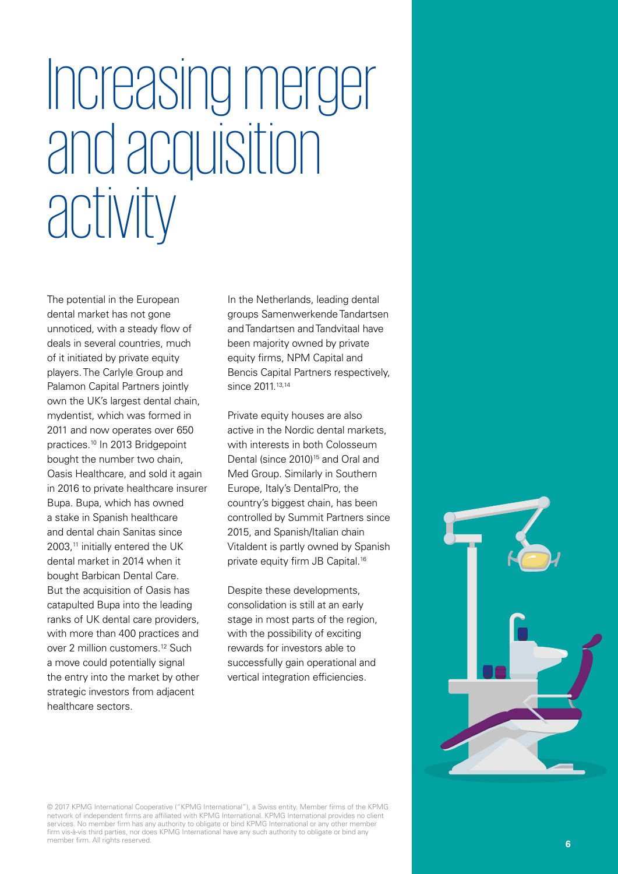## Increasing merger and acquisition activity

The potential in the European dental market has not gone unnoticed, with a steady flow of deals in several countries, much of it initiated by private equity players. The Carlyle Group and Palamon Capital Partners jointly own the UK's largest dental chain, mydentist, which was formed in 2011 and now operates over 650 practices.10 In 2013 Bridgepoint bought the number two chain, Oasis Healthcare, and sold it again in 2016 to private healthcare insurer Bupa. Bupa, which has owned a stake in Spanish healthcare and dental chain Sanitas since 2003,<sup>11</sup> initially entered the UK dental market in 2014 when it bought Barbican Dental Care. But the acquisition of Oasis has catapulted Bupa into the leading ranks of UK dental care providers, with more than 400 practices and over 2 million customers.12 Such a move could potentially signal the entry into the market by other strategic investors from adjacent healthcare sectors.

In the Netherlands, leading dental groups Samenwerkende Tandartsen and Tandartsen and Tandvitaal have been majority owned by private equity firms, NPM Capital and Bencis Capital Partners respectively, since 2011.<sup>13,14</sup>

Private equity houses are also active in the Nordic dental markets, with interests in both Colosseum Dental (since 2010)<sup>15</sup> and Oral and Med Group. Similarly in Southern Europe, Italy's DentalPro, the country's biggest chain, has been controlled by Summit Partners since 2015, and Spanish/Italian chain Vitaldent is partly owned by Spanish private equity firm JB Capital.16

Despite these developments, consolidation is still at an early stage in most parts of the region, with the possibility of exciting rewards for investors able to successfully gain operational and vertical integration efficiencies.

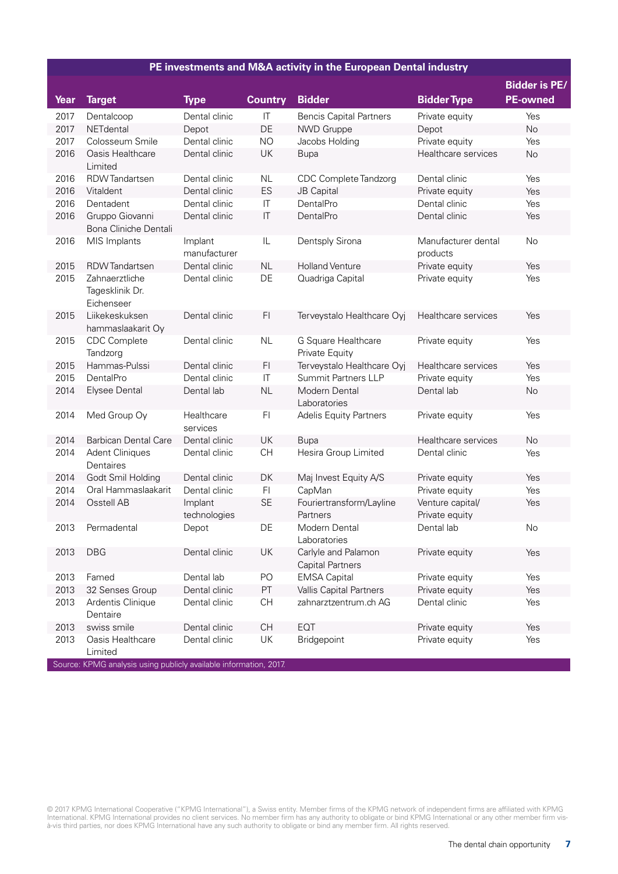#### **PE investments and M&A activity in the European Dental industry**

|      |                                                 |                         |                                   |                                                |                                    | <b>Bidder is PE/</b> |
|------|-------------------------------------------------|-------------------------|-----------------------------------|------------------------------------------------|------------------------------------|----------------------|
| Year | <b>Target</b>                                   | <b>Type</b>             | <b>Country</b>                    | <b>Bidder</b>                                  | <b>Bidder Type</b>                 | <b>PE-owned</b>      |
| 2017 | Dentalcoop                                      | Dental clinic           | $\ensuremath{\mathsf{IT}}\xspace$ | <b>Bencis Capital Partners</b>                 | Private equity                     | Yes                  |
| 2017 | NETdental                                       | Depot                   | DE                                | NWD Gruppe                                     | Depot                              | No                   |
| 2017 | Colosseum Smile                                 | Dental clinic           | <b>NO</b>                         | Jacobs Holding                                 | Private equity                     | Yes                  |
| 2016 | Oasis Healthcare<br>Limited                     | Dental clinic           | UK                                | <b>Bupa</b>                                    | Healthcare services                | No                   |
| 2016 | <b>RDW</b> Tandartsen                           | Dental clinic           | <b>NL</b>                         | CDC Complete Tandzorg                          | Dental clinic                      | Yes                  |
| 2016 | Vitaldent                                       | Dental clinic           | ES                                | JB Capital                                     | Private equity                     | Yes                  |
| 2016 | Dentadent                                       | Dental clinic           | $\mathsf{I}\mathsf{T}$            | DentalPro                                      | Dental clinic                      | Yes                  |
| 2016 | Gruppo Giovanni<br>Bona Cliniche Dentali        | Dental clinic           | $\mathsf{I}\mathsf{T}$            | DentalPro                                      | Dental clinic                      | Yes                  |
| 2016 | MIS Implants                                    | Implant<br>manufacturer | IL                                | Dentsply Sirona                                | Manufacturer dental<br>products    | No                   |
| 2015 | <b>RDW</b> Tandartsen                           | Dental clinic           | NL                                | <b>Holland Venture</b>                         | Private equity                     | Yes                  |
| 2015 | Zahnaerztliche<br>Tagesklinik Dr.<br>Eichenseer | Dental clinic           | DE                                | Quadriga Capital                               | Private equity                     | Yes                  |
| 2015 | Liikekeskuksen<br>hammaslaakarit Oy             | Dental clinic           | F <sub>1</sub>                    | Terveystalo Healthcare Oyj                     | Healthcare services                | Yes                  |
| 2015 | <b>CDC</b> Complete<br>Tandzorg                 | Dental clinic           | NL                                | G Square Healthcare<br>Private Equity          | Private equity                     | Yes                  |
| 2015 | Hammas-Pulssi                                   | Dental clinic           | F <sub>1</sub>                    | Terveystalo Healthcare Oyj                     | Healthcare services                | Yes                  |
| 2015 | DentalPro                                       | Dental clinic           | $\mathsf{I}\mathsf{T}$            | <b>Summit Partners LLP</b>                     | Private equity                     | Yes                  |
| 2014 | <b>Elysee Dental</b>                            | Dental lab              | <b>NL</b>                         | Modern Dental<br>Laboratories                  | Dental lab                         | No                   |
| 2014 | Med Group Oy                                    | Healthcare<br>services  | F <sub>1</sub>                    | <b>Adelis Equity Partners</b>                  | Private equity                     | Yes                  |
| 2014 | <b>Barbican Dental Care</b>                     | Dental clinic           | UK                                | <b>Bupa</b>                                    | Healthcare services                | <b>No</b>            |
| 2014 | <b>Adent Cliniques</b><br>Dentaires             | Dental clinic           | <b>CH</b>                         | Hesira Group Limited                           | Dental clinic                      | Yes                  |
| 2014 | Godt Smil Holding                               | Dental clinic           | DK                                | Maj Invest Equity A/S                          | Private equity                     | Yes                  |
| 2014 | Oral Hammaslaakarit                             | Dental clinic           | F <sub>1</sub>                    | CapMan                                         | Private equity                     | Yes                  |
| 2014 | Osstell AB                                      | Implant<br>technologies | <b>SE</b>                         | Fouriertransform/Layline<br>Partners           | Venture capital/<br>Private equity | Yes                  |
| 2013 | Permadental                                     | Depot                   | DE                                | Modern Dental<br>Laboratories                  | Dental lab                         | No                   |
| 2013 | <b>DBG</b>                                      | Dental clinic           | UK                                | Carlyle and Palamon<br><b>Capital Partners</b> | Private equity                     | Yes                  |
| 2013 | Famed                                           | Dental lab              | PO                                | <b>EMSA Capital</b>                            | Private equity                     | Yes                  |
| 2013 | 32 Senses Group                                 | Dental clinic           | PT                                | Vallis Capital Partners                        | Private equity                     | Yes                  |
| 2013 | Ardentis Clinique<br>Dentaire                   | Dental clinic           | CH                                | zahnarztzentrum.ch AG                          | Dental clinic                      | Yes                  |
| 2013 | swiss smile                                     | Dental clinic           | <b>CH</b>                         | EQT                                            | Private equity                     | Yes                  |
| 2013 | Oasis Healthcare<br>Limited                     | Dental clinic           | UK                                | Bridgepoint                                    | Private equity                     | Yes                  |

Source: KPMG analysis using publicly available information, 2017.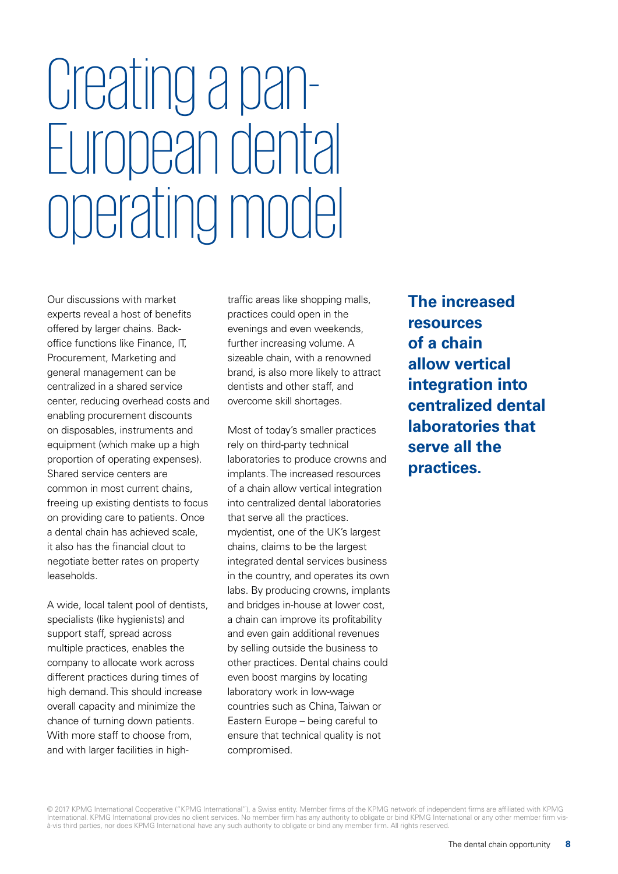## Creating a pan-European dental operating model

Our discussions with market experts reveal a host of benefits offered by larger chains. Backoffice functions like Finance, IT, Procurement, Marketing and general management can be centralized in a shared service center, reducing overhead costs and enabling procurement discounts on disposables, instruments and equipment (which make up a high proportion of operating expenses). Shared service centers are common in most current chains, freeing up existing dentists to focus on providing care to patients. Once a dental chain has achieved scale, it also has the financial clout to negotiate better rates on property leaseholds.

A wide, local talent pool of dentists, specialists (like hygienists) and support staff, spread across multiple practices, enables the company to allocate work across different practices during times of high demand. This should increase overall capacity and minimize the chance of turning down patients. With more staff to choose from, and with larger facilities in high-

traffic areas like shopping malls, practices could open in the evenings and even weekends, further increasing volume. A sizeable chain, with a renowned brand, is also more likely to attract dentists and other staff, and overcome skill shortages.

Most of today's smaller practices rely on third-party technical laboratories to produce crowns and implants. The increased resources of a chain allow vertical integration into centralized dental laboratories that serve all the practices. mydentist, one of the UK's largest chains, claims to be the largest integrated dental services business in the country, and operates its own labs. By producing crowns, implants and bridges in-house at lower cost, a chain can improve its profitability and even gain additional revenues by selling outside the business to other practices. Dental chains could even boost margins by locating laboratory work in low-wage countries such as China, Taiwan or Eastern Europe – being careful to ensure that technical quality is not compromised.

**The increased resources of a chain allow vertical integration into centralized dental laboratories that serve all the practices.**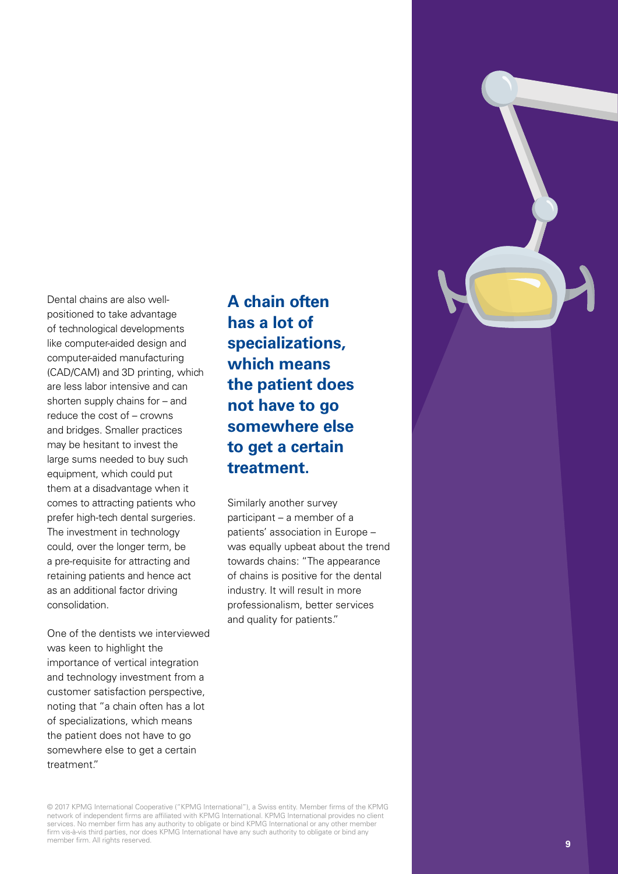Dental chains are also wellpositioned to take advantage of technological developments like computer-aided design and computer-aided manufacturing (CAD/CAM) and 3D printing, which are less labor intensive and can shorten supply chains for – and reduce the cost of – crowns and bridges. Smaller practices may be hesitant to invest the large sums needed to buy such equipment, which could put them at a disadvantage when it comes to attracting patients who prefer high-tech dental surgeries. The investment in technology could, over the longer term, be a pre-requisite for attracting and retaining patients and hence act as an additional factor driving consolidation.

One of the dentists we interviewed was keen to highlight the importance of vertical integration and technology investment from a customer satisfaction perspective, noting that "a chain often has a lot of specializations, which means the patient does not have to go somewhere else to get a certain treatment."

**A chain often has a lot of specializations, which means the patient does not have to go somewhere else to get a certain treatment.**

Similarly another survey participant – a member of a patients' association in Europe – was equally upbeat about the trend towards chains: "The appearance of chains is positive for the dental industry. It will result in more professionalism, better services and quality for patients."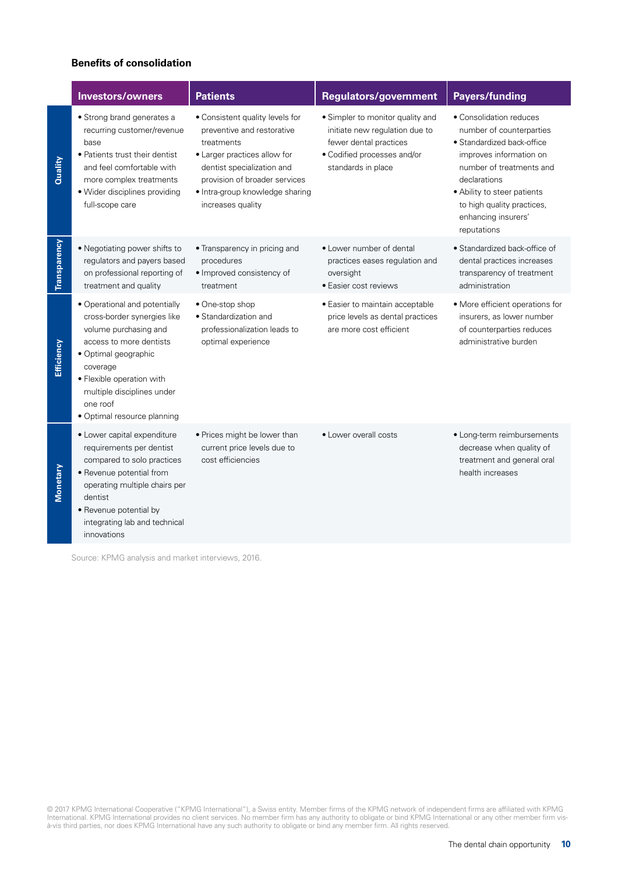#### **Benefits of consolidation**

|              | <b>Investors/owners</b>                                                                                                                                                                                                                                    | <b>Patients</b>                                                                                                                                                                                                                    | <b>Regulators/government</b>                                                                                                                      | <b>Payers/funding</b>                                                                                                                                                                                                                                       |
|--------------|------------------------------------------------------------------------------------------------------------------------------------------------------------------------------------------------------------------------------------------------------------|------------------------------------------------------------------------------------------------------------------------------------------------------------------------------------------------------------------------------------|---------------------------------------------------------------------------------------------------------------------------------------------------|-------------------------------------------------------------------------------------------------------------------------------------------------------------------------------------------------------------------------------------------------------------|
| Quality      | · Strong brand generates a<br>recurring customer/revenue<br>base<br>• Patients trust their dentist<br>and feel comfortable with<br>more complex treatments<br>· Wider disciplines providing<br>full-scope care                                             | · Consistent quality levels for<br>preventive and restorative<br>treatments<br>· Larger practices allow for<br>dentist specialization and<br>provision of broader services<br>· Intra-group knowledge sharing<br>increases quality | • Simpler to monitor quality and<br>initiate new regulation due to<br>fewer dental practices<br>• Codified processes and/or<br>standards in place | • Consolidation reduces<br>number of counterparties<br>• Standardized back-office<br>improves information on<br>number of treatments and<br>declarations<br>• Ability to steer patients<br>to high quality practices,<br>enhancing insurers'<br>reputations |
| Transparency | • Negotiating power shifts to<br>regulators and payers based<br>on professional reporting of<br>treatment and quality                                                                                                                                      | • Transparency in pricing and<br>procedures<br>· Improved consistency of<br>treatment                                                                                                                                              | • Lower number of dental<br>practices eases regulation and<br>oversight<br>· Easier cost reviews                                                  | • Standardized back-office of<br>dental practices increases<br>transparency of treatment<br>administration                                                                                                                                                  |
| Efficiency   | • Operational and potentially<br>cross-border synergies like<br>volume purchasing and<br>access to more dentists<br>· Optimal geographic<br>coverage<br>• Flexible operation with<br>multiple disciplines under<br>one roof<br>· Optimal resource planning | · One-stop shop<br>• Standardization and<br>professionalization leads to<br>optimal experience                                                                                                                                     | · Easier to maintain acceptable<br>price levels as dental practices<br>are more cost efficient                                                    | • More efficient operations for<br>insurers, as lower number<br>of counterparties reduces<br>administrative burden                                                                                                                                          |
| Monetary     | · Lower capital expenditure<br>requirements per dentist<br>compared to solo practices<br>· Revenue potential from<br>operating multiple chairs per<br>dentist<br>• Revenue potential by<br>integrating lab and technical<br>innovations                    | • Prices might be lower than<br>current price levels due to<br>cost efficiencies                                                                                                                                                   | • Lower overall costs                                                                                                                             | • Long-term reimbursements<br>decrease when quality of<br>treatment and general oral<br>health increases                                                                                                                                                    |

Source: KPMG analysis and market interviews, 2016.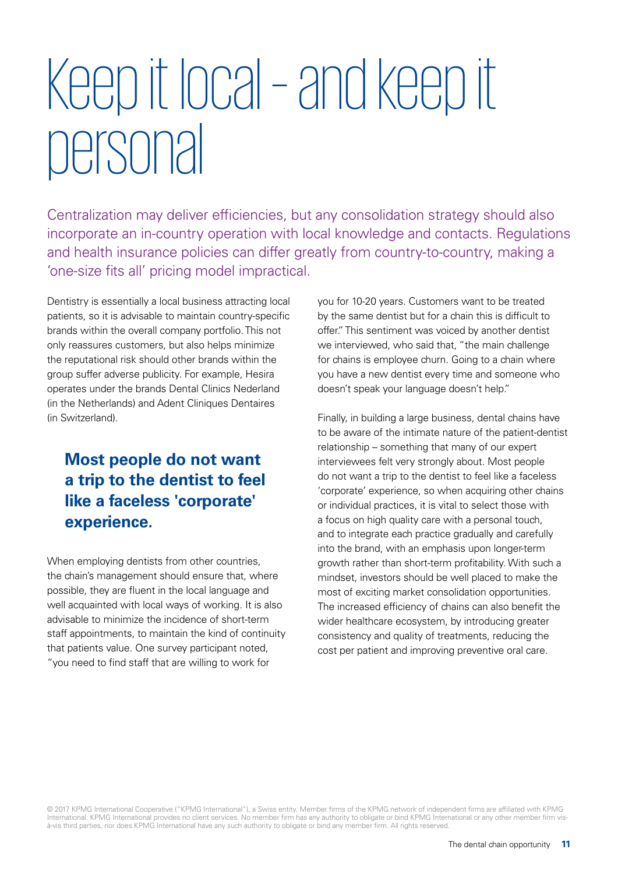## Keep it local – and keep it personal

Centralization may deliver efficiencies, but any consolidation strategy should also incorporate an in-country operation with local knowledge and contacts. Regulations and health insurance policies can differ greatly from country-to-country, making a 'one-size fits all' pricing model impractical.

Dentistry is essentially a local business attracting local patients, so it is advisable to maintain country-specific brands within the overall company portfolio. This not only reassures customers, but also helps minimize the reputational risk should other brands within the group suffer adverse publicity. For example, Hesira operates under the brands Dental Clinics Nederland (in the Netherlands) and Adent Cliniques Dentaires (in Switzerland).

### **Most people do not want a trip to the dentist to feel like a faceless 'corporate' experience.**

When employing dentists from other countries, the chain's management should ensure that, where possible, they are fluent in the local language and well acquainted with local ways of working. It is also advisable to minimize the incidence of short-term staff appointments, to maintain the kind of continuity that patients value. One survey participant noted, "you need to find staff that are willing to work for

you for 10-20 years. Customers want to be treated by the same dentist but for a chain this is difficult to offer." This sentiment was voiced by another dentist we interviewed, who said that, "the main challenge for chains is employee churn. Going to a chain where you have a new dentist every time and someone who doesn't speak your language doesn't help."

Finally, in building a large business, dental chains have to be aware of the intimate nature of the patient-dentist relationship – something that many of our expert interviewees felt very strongly about. Most people do not want a trip to the dentist to feel like a faceless 'corporate' experience, so when acquiring other chains or individual practices, it is vital to select those with a focus on high quality care with a personal touch, and to integrate each practice gradually and carefully into the brand, with an emphasis upon longer-term growth rather than short-term profitability. With such a mindset, investors should be well placed to make the most of exciting market consolidation opportunities. The increased efficiency of chains can also benefit the wider healthcare ecosystem, by introducing greater consistency and quality of treatments, reducing the cost per patient and improving preventive oral care.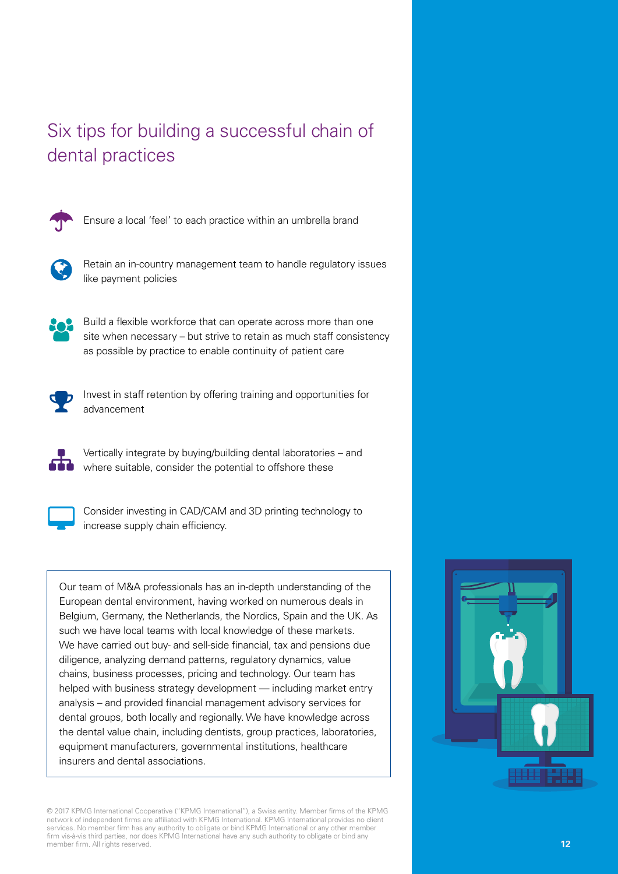### Six tips for building a successful chain of dental practices



Ensure a local 'feel' to each practice within an umbrella brand



Retain an in-country management team to handle regulatory issues like payment policies



Build a flexible workforce that can operate across more than one site when necessary – but strive to retain as much staff consistency as possible by practice to enable continuity of patient care



Invest in staff retention by offering training and opportunities for advancement



Vertically integrate by buying/building dental laboratories – and where suitable, consider the potential to offshore these



Consider investing in CAD/CAM and 3D printing technology to increase supply chain efficiency.

Our team of M&A professionals has an in-depth understanding of the European dental environment, having worked on numerous deals in Belgium, Germany, the Netherlands, the Nordics, Spain and the UK. As such we have local teams with local knowledge of these markets. We have carried out buy- and sell-side financial, tax and pensions due diligence, analyzing demand patterns, regulatory dynamics, value chains, business processes, pricing and technology. Our team has helped with business strategy development — including market entry analysis – and provided financial management advisory services for dental groups, both locally and regionally. We have knowledge across the dental value chain, including dentists, group practices, laboratories, equipment manufacturers, governmental institutions, healthcare insurers and dental associations.

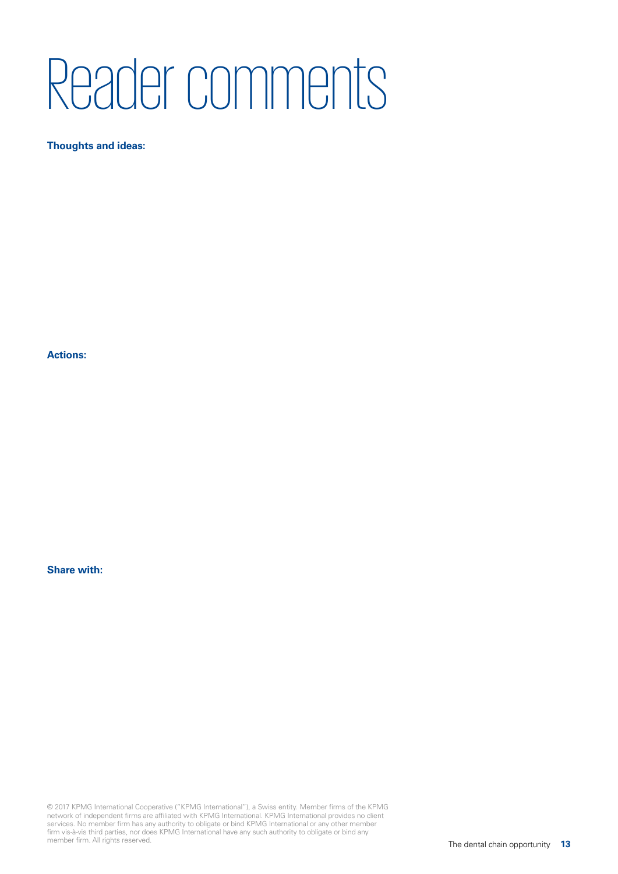## Reader comments

#### **Thoughts and ideas:**

**Actions:**

#### **Share with:**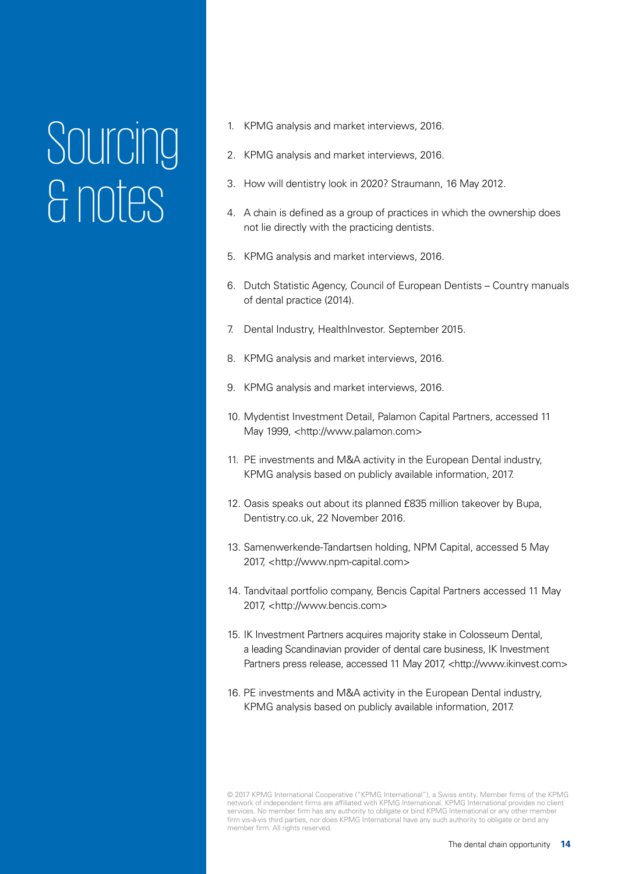### Sourcing & notes

- 1. KPMG analysis and market interviews, 2016.
- 2. KPMG analysis and market interviews, 2016.
- 3. How will dentistry look in 2020? Straumann, 16 May 2012.
- 4. A chain is defined as a group of practices in which the ownership does not lie directly with the practicing dentists.
- 5. KPMG analysis and market interviews, 2016.
- 6. Dutch Statistic Agency, Council of European Dentists Country manuals of dental practice (2014).
- 7. Dental Industry, HealthInvestor. September 2015.
- 8. KPMG analysis and market interviews, 2016.
- 9. KPMG analysis and market interviews, 2016.
- 10. Mydentist Investment Detail, Palamon Capital Partners, accessed 11 May 1999, <http://www.palamon.com>
- 11. PE investments and M&A activity in the European Dental industry, KPMG analysis based on publicly available information, 2017.
- 12. Oasis speaks out about its planned £835 million takeover by Bupa, Dentistry.co.uk, 22 November 2016.
- 13. Samenwerkende-Tandartsen holding, NPM Capital, accessed 5 May 2017, <http://www.npm-capital.com>
- 14. Tandvitaal portfolio company, Bencis Capital Partners accessed 11 May 2017, <http://www.bencis.com>
- 15. IK Investment Partners acquires majority stake in Colosseum Dental, a leading Scandinavian provider of dental care business, IK Investment Partners press release, accessed 11 May 2017, <http://www.ikinvest.com>
- 16. PE investments and M&A activity in the European Dental industry, KPMG analysis based on publicly available information, 2017.